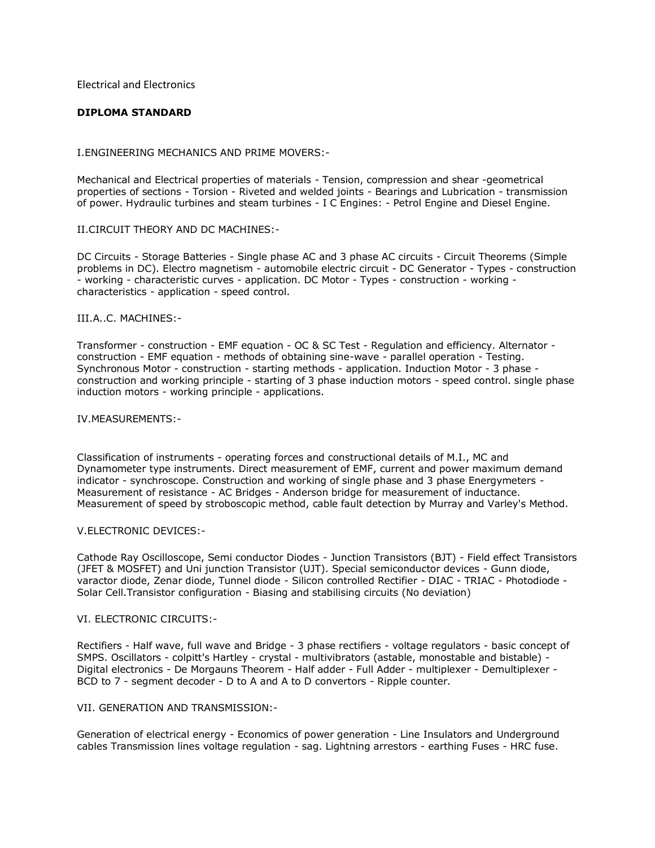Electrical and Electronics

## **DIPLOMA STANDARD**

#### I.ENGINEERING MECHANICS AND PRIME MOVERS:-

Mechanical and Electrical properties of materials - Tension, compression and shear -geometrical properties of sections - Torsion - Riveted and welded joints - Bearings and Lubrication - transmission of power. Hydraulic turbines and steam turbines - I C Engines: - Petrol Engine and Diesel Engine.

#### II.CIRCUIT THEORY AND DC MACHINES:-

DC Circuits - Storage Batteries - Single phase AC and 3 phase AC circuits - Circuit Theorems (Simple problems in DC). Electro magnetism - automobile electric circuit - DC Generator - Types - construction - working - characteristic curves - application. DC Motor - Types - construction - working characteristics - application - speed control.

#### III.A..C. MACHINES:-

Transformer - construction - EMF equation - OC & SC Test - Regulation and efficiency. Alternator construction - EMF equation - methods of obtaining sine-wave - parallel operation - Testing. Synchronous Motor - construction - starting methods - application. Induction Motor - 3 phase construction and working principle - starting of 3 phase induction motors - speed control. single phase induction motors - working principle - applications.

#### IV.MEASUREMENTS:-

Classification of instruments - operating forces and constructional details of M.I., MC and Dynamometer type instruments. Direct measurement of EMF, current and power maximum demand indicator - synchroscope. Construction and working of single phase and 3 phase Energymeters - Measurement of resistance - AC Bridges - Anderson bridge for measurement of inductance. Measurement of speed by stroboscopic method, cable fault detection by Murray and Varley's Method.

## V.ELECTRONIC DEVICES:-

Cathode Ray Oscilloscope, Semi conductor Diodes - Junction Transistors (BJT) - Field effect Transistors (JFET & MOSFET) and Uni junction Transistor (UJT). Special semiconductor devices - Gunn diode, varactor diode, Zenar diode, Tunnel diode - Silicon controlled Rectifier - DIAC - TRIAC - Photodiode - Solar Cell.Transistor configuration - Biasing and stabilising circuits (No deviation)

#### VI. ELECTRONIC CIRCUITS:-

Rectifiers - Half wave, full wave and Bridge - 3 phase rectifiers - voltage regulators - basic concept of SMPS. Oscillators - colpitt's Hartley - crystal - multivibrators (astable, monostable and bistable) - Digital electronics - De Morgauns Theorem - Half adder - Full Adder - multiplexer - Demultiplexer - BCD to 7 - segment decoder - D to A and A to D convertors - Ripple counter.

### VII. GENERATION AND TRANSMISSION:-

Generation of electrical energy - Economics of power generation - Line Insulators and Underground cables Transmission lines voltage regulation - sag. Lightning arrestors - earthing Fuses - HRC fuse.